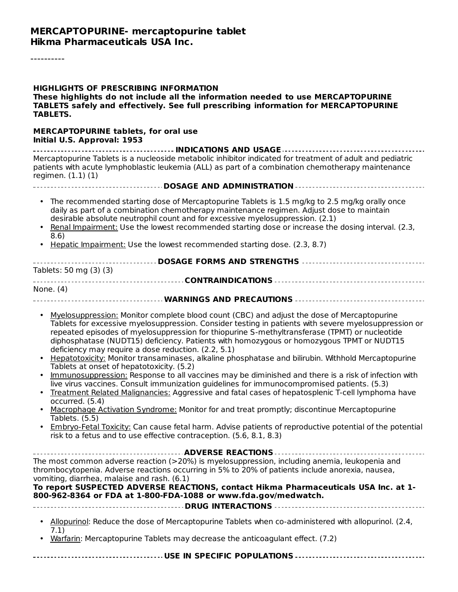----------

| <b>HIGHLIGHTS OF PRESCRIBING INFORMATION</b><br>These highlights do not include all the information needed to use MERCAPTOPURINE<br>TABLETS safely and effectively. See full prescribing information for MERCAPTOPURINE<br><b>TABLETS.</b>                                                                                                                                                                                                                                                                                                                                                                                                                                                                                                                                                                                                                                                                                                                                                                                                                                                                                                                                                                                              |  |  |  |  |
|-----------------------------------------------------------------------------------------------------------------------------------------------------------------------------------------------------------------------------------------------------------------------------------------------------------------------------------------------------------------------------------------------------------------------------------------------------------------------------------------------------------------------------------------------------------------------------------------------------------------------------------------------------------------------------------------------------------------------------------------------------------------------------------------------------------------------------------------------------------------------------------------------------------------------------------------------------------------------------------------------------------------------------------------------------------------------------------------------------------------------------------------------------------------------------------------------------------------------------------------|--|--|--|--|
| MERCAPTOPURINE tablets, for oral use<br>Initial U.S. Approval: 1953                                                                                                                                                                                                                                                                                                                                                                                                                                                                                                                                                                                                                                                                                                                                                                                                                                                                                                                                                                                                                                                                                                                                                                     |  |  |  |  |
| Mercaptopurine Tablets is a nucleoside metabolic inhibitor indicated for treatment of adult and pediatric<br>patients with acute lymphoblastic leukemia (ALL) as part of a combination chemotherapy maintenance<br>regimen. $(1.1)$ $(1)$                                                                                                                                                                                                                                                                                                                                                                                                                                                                                                                                                                                                                                                                                                                                                                                                                                                                                                                                                                                               |  |  |  |  |
| ------------------------------------DOSAGE AND ADMINISTRATION -----------------------------------                                                                                                                                                                                                                                                                                                                                                                                                                                                                                                                                                                                                                                                                                                                                                                                                                                                                                                                                                                                                                                                                                                                                       |  |  |  |  |
| • The recommended starting dose of Mercaptopurine Tablets is 1.5 mg/kg to 2.5 mg/kg orally once<br>daily as part of a combination chemotherapy maintenance regimen. Adjust dose to maintain<br>desirable absolute neutrophil count and for excessive myelosuppression. (2.1)<br>Renal Impairment: Use the lowest recommended starting dose or increase the dosing interval. (2.3,<br>8.6)                                                                                                                                                                                                                                                                                                                                                                                                                                                                                                                                                                                                                                                                                                                                                                                                                                               |  |  |  |  |
| Hepatic Impairment: Use the lowest recommended starting dose. (2.3, 8.7)                                                                                                                                                                                                                                                                                                                                                                                                                                                                                                                                                                                                                                                                                                                                                                                                                                                                                                                                                                                                                                                                                                                                                                |  |  |  |  |
| Tablets: 50 mg (3) (3)                                                                                                                                                                                                                                                                                                                                                                                                                                                                                                                                                                                                                                                                                                                                                                                                                                                                                                                                                                                                                                                                                                                                                                                                                  |  |  |  |  |
| None. (4)                                                                                                                                                                                                                                                                                                                                                                                                                                                                                                                                                                                                                                                                                                                                                                                                                                                                                                                                                                                                                                                                                                                                                                                                                               |  |  |  |  |
|                                                                                                                                                                                                                                                                                                                                                                                                                                                                                                                                                                                                                                                                                                                                                                                                                                                                                                                                                                                                                                                                                                                                                                                                                                         |  |  |  |  |
| Myelosuppression: Monitor complete blood count (CBC) and adjust the dose of Mercaptopurine<br>Tablets for excessive myelosuppression. Consider testing in patients with severe myelosuppression or<br>repeated episodes of myelosuppression for thiopurine S-methyltransferase (TPMT) or nucleotide<br>diphosphatase (NUDT15) deficiency. Patients with homozygous or homozygous TPMT or NUDT15<br>deficiency may require a dose reduction. (2.2, 5.1)<br>Hepatotoxicity: Monitor transaminases, alkaline phosphatase and bilirubin. Withhold Mercaptopurine<br>Tablets at onset of hepatotoxicity. (5.2)<br>Immunosuppression: Response to all vaccines may be diminished and there is a risk of infection with<br>live virus vaccines. Consult immunization guidelines for immunocompromised patients. (5.3)<br>Treatment Related Malignancies: Aggressive and fatal cases of hepatosplenic T-cell lymphoma have<br>occurred. (5.4)<br>Macrophage Activation Syndrome: Monitor for and treat promptly; discontinue Mercaptopurine<br>Tablets. (5.5)<br>Embryo-Fetal Toxicity: Can cause fetal harm. Advise patients of reproductive potential of the potential<br>risk to a fetus and to use effective contraception. (5.6, 8.1, 8.3) |  |  |  |  |
|                                                                                                                                                                                                                                                                                                                                                                                                                                                                                                                                                                                                                                                                                                                                                                                                                                                                                                                                                                                                                                                                                                                                                                                                                                         |  |  |  |  |
| The most common adverse reaction (>20%) is myelosuppression, including anemia, leukopenia and<br>thrombocytopenia. Adverse reactions occurring in 5% to 20% of patients include anorexia, nausea,<br>vomiting, diarrhea, malaise and rash. (6.1)<br>To report SUSPECTED ADVERSE REACTIONS, contact Hikma Pharmaceuticals USA Inc. at 1-<br>800-962-8364 or FDA at 1-800-FDA-1088 or www.fda.gov/medwatch.                                                                                                                                                                                                                                                                                                                                                                                                                                                                                                                                                                                                                                                                                                                                                                                                                               |  |  |  |  |
|                                                                                                                                                                                                                                                                                                                                                                                                                                                                                                                                                                                                                                                                                                                                                                                                                                                                                                                                                                                                                                                                                                                                                                                                                                         |  |  |  |  |
| Allopurinol: Reduce the dose of Mercaptopurine Tablets when co-administered with allopurinol. (2.4,<br>7.1)<br>Warfarin: Mercaptopurine Tablets may decrease the anticoagulant effect. (7.2)                                                                                                                                                                                                                                                                                                                                                                                                                                                                                                                                                                                                                                                                                                                                                                                                                                                                                                                                                                                                                                            |  |  |  |  |

|--|--|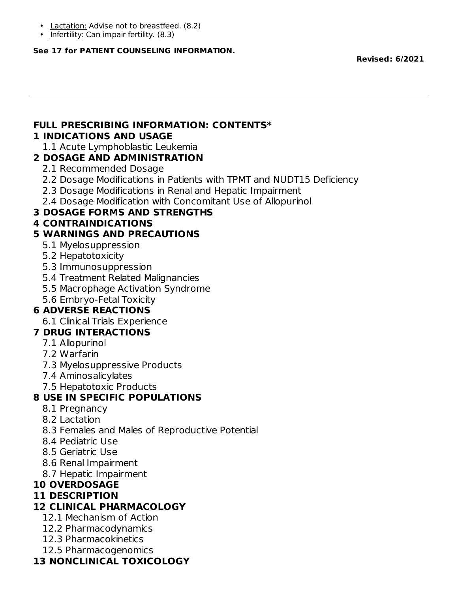- Lactation: Advise not to breastfeed. (8.2)
- Infertility: Can impair fertility. (8.3)

#### **See 17 for PATIENT COUNSELING INFORMATION.**

**Revised: 6/2021**

#### **FULL PRESCRIBING INFORMATION: CONTENTS\* 1 INDICATIONS AND USAGE**

1.1 Acute Lymphoblastic Leukemia

## **2 DOSAGE AND ADMINISTRATION**

- 2.1 Recommended Dosage
- 2.2 Dosage Modifications in Patients with TPMT and NUDT15 Deficiency
- 2.3 Dosage Modifications in Renal and Hepatic Impairment
- 2.4 Dosage Modification with Concomitant Use of Allopurinol

## **3 DOSAGE FORMS AND STRENGTHS**

## **4 CONTRAINDICATIONS**

## **5 WARNINGS AND PRECAUTIONS**

- 5.1 Myelosuppression
- 5.2 Hepatotoxicity
- 5.3 Immunosuppression
- 5.4 Treatment Related Malignancies
- 5.5 Macrophage Activation Syndrome
- 5.6 Embryo-Fetal Toxicity

# **6 ADVERSE REACTIONS**

6.1 Clinical Trials Experience

# **7 DRUG INTERACTIONS**

- 7.1 Allopurinol
- 7.2 Warfarin
- 7.3 Myelosuppressive Products
- 7.4 Aminosalicylates
- 7.5 Hepatotoxic Products

# **8 USE IN SPECIFIC POPULATIONS**

- 8.1 Pregnancy
- 8.2 Lactation
- 8.3 Females and Males of Reproductive Potential
- 8.4 Pediatric Use
- 8.5 Geriatric Use
- 8.6 Renal Impairment
- 8.7 Hepatic Impairment

### **10 OVERDOSAGE**

### **11 DESCRIPTION**

### **12 CLINICAL PHARMACOLOGY**

- 12.1 Mechanism of Action
- 12.2 Pharmacodynamics
- 12.3 Pharmacokinetics
- 12.5 Pharmacogenomics

# **13 NONCLINICAL TOXICOLOGY**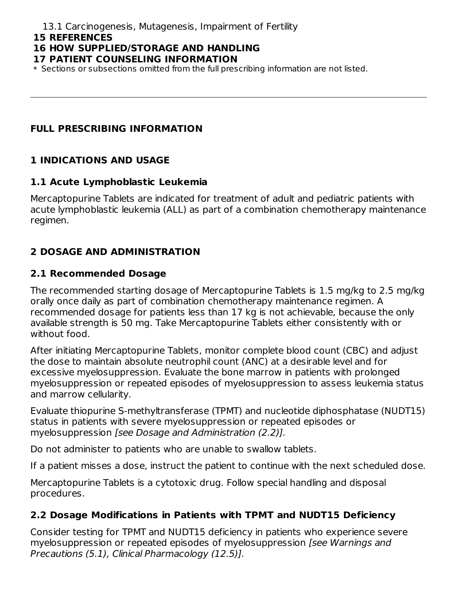#### **15 REFERENCES**

# **16 HOW SUPPLIED/STORAGE AND HANDLING**

#### **17 PATIENT COUNSELING INFORMATION**

\* Sections or subsections omitted from the full prescribing information are not listed.

# **FULL PRESCRIBING INFORMATION**

# **1 INDICATIONS AND USAGE**

# **1.1 Acute Lymphoblastic Leukemia**

Mercaptopurine Tablets are indicated for treatment of adult and pediatric patients with acute lymphoblastic leukemia (ALL) as part of a combination chemotherapy maintenance regimen.

# **2 DOSAGE AND ADMINISTRATION**

# **2.1 Recommended Dosage**

The recommended starting dosage of Mercaptopurine Tablets is 1.5 mg/kg to 2.5 mg/kg orally once daily as part of combination chemotherapy maintenance regimen. A recommended dosage for patients less than 17 kg is not achievable, because the only available strength is 50 mg. Take Mercaptopurine Tablets either consistently with or without food.

After initiating Mercaptopurine Tablets, monitor complete blood count (CBC) and adjust the dose to maintain absolute neutrophil count (ANC) at a desirable level and for excessive myelosuppression. Evaluate the bone marrow in patients with prolonged myelosuppression or repeated episodes of myelosuppression to assess leukemia status and marrow cellularity.

Evaluate thiopurine S-methyltransferase (TPMT) and nucleotide diphosphatase (NUDT15) status in patients with severe myelosuppression or repeated episodes or myelosuppression [see Dosage and Administration (2.2)].

Do not administer to patients who are unable to swallow tablets.

If a patient misses a dose, instruct the patient to continue with the next scheduled dose.

Mercaptopurine Tablets is a cytotoxic drug. Follow special handling and disposal procedures.

# **2.2 Dosage Modifications in Patients with TPMT and NUDT15 Deficiency**

Consider testing for TPMT and NUDT15 deficiency in patients who experience severe myelosuppression or repeated episodes of myelosuppression [see Warnings and Precautions (5.1), Clinical Pharmacology (12.5)].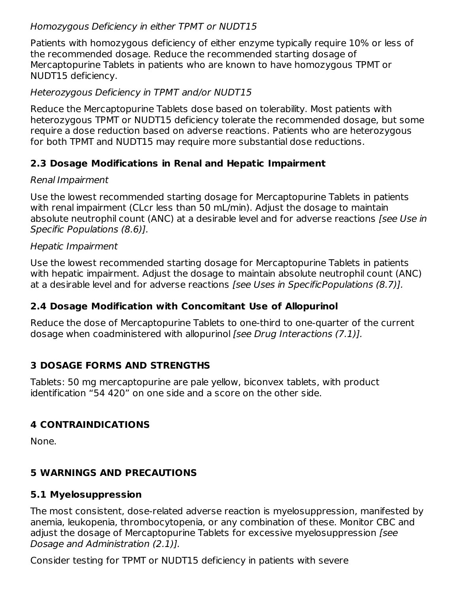## Homozygous Deficiency in either TPMT or NUDT15

Patients with homozygous deficiency of either enzyme typically require 10% or less of the recommended dosage. Reduce the recommended starting dosage of Mercaptopurine Tablets in patients who are known to have homozygous TPMT or NUDT15 deficiency.

## Heterozygous Deficiency in TPMT and/or NUDT15

Reduce the Mercaptopurine Tablets dose based on tolerability. Most patients with heterozygous TPMT or NUDT15 deficiency tolerate the recommended dosage, but some require a dose reduction based on adverse reactions. Patients who are heterozygous for both TPMT and NUDT15 may require more substantial dose reductions.

# **2.3 Dosage Modifications in Renal and Hepatic Impairment**

## Renal Impairment

Use the lowest recommended starting dosage for Mercaptopurine Tablets in patients with renal impairment (CLcr less than 50 mL/min). Adjust the dosage to maintain absolute neutrophil count (ANC) at a desirable level and for adverse reactions [see Use in Specific Populations (8.6)].

## Hepatic Impairment

Use the lowest recommended starting dosage for Mercaptopurine Tablets in patients with hepatic impairment. Adjust the dosage to maintain absolute neutrophil count (ANC) at a desirable level and for adverse reactions [see Uses in SpecificPopulations (8.7)].

# **2.4 Dosage Modification with Concomitant Use of Allopurinol**

Reduce the dose of Mercaptopurine Tablets to one-third to one-quarter of the current dosage when coadministered with allopurinol [see Drug Interactions (7.1)].

# **3 DOSAGE FORMS AND STRENGTHS**

Tablets: 50 mg mercaptopurine are pale yellow, biconvex tablets, with product identification "54 420" on one side and a score on the other side.

# **4 CONTRAINDICATIONS**

None.

# **5 WARNINGS AND PRECAUTIONS**

# **5.1 Myelosuppression**

The most consistent, dose-related adverse reaction is myelosuppression, manifested by anemia, leukopenia, thrombocytopenia, or any combination of these. Monitor CBC and adjust the dosage of Mercaptopurine Tablets for excessive myelosuppression [see Dosage and Administration (2.1)].

Consider testing for TPMT or NUDT15 deficiency in patients with severe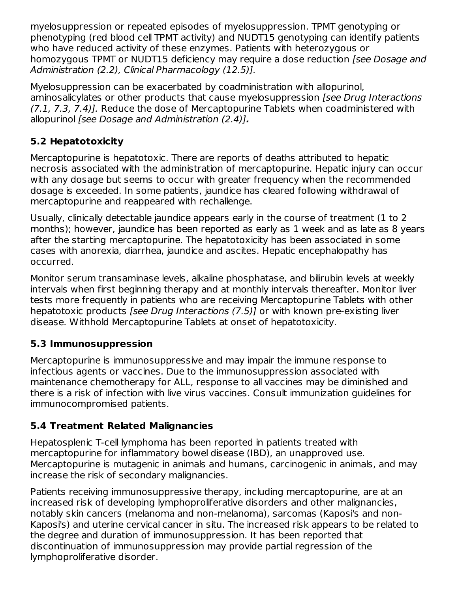myelosuppression or repeated episodes of myelosuppression. TPMT genotyping or phenotyping (red blood cell TPMT activity) and NUDT15 genotyping can identify patients who have reduced activity of these enzymes. Patients with heterozygous or homozygous TPMT or NUDT15 deficiency may require a dose reduction *[see Dosage and* Administration (2.2), Clinical Pharmacology (12.5)].

Myelosuppression can be exacerbated by coadministration with allopurinol, aminosalicylates or other products that cause myelosuppression *[see Drug Interactions* (7.1, 7.3, 7.4)]. Reduce the dose of Mercaptopurine Tablets when coadministered with allopurinol [see Dosage and Administration (2.4)]**.**

# **5.2 Hepatotoxicity**

Mercaptopurine is hepatotoxic. There are reports of deaths attributed to hepatic necrosis associated with the administration of mercaptopurine. Hepatic injury can occur with any dosage but seems to occur with greater frequency when the recommended dosage is exceeded. In some patients, jaundice has cleared following withdrawal of mercaptopurine and reappeared with rechallenge.

Usually, clinically detectable jaundice appears early in the course of treatment (1 to 2 months); however, jaundice has been reported as early as 1 week and as late as 8 years after the starting mercaptopurine. The hepatotoxicity has been associated in some cases with anorexia, diarrhea, jaundice and ascites. Hepatic encephalopathy has occurred.

Monitor serum transaminase levels, alkaline phosphatase, and bilirubin levels at weekly intervals when first beginning therapy and at monthly intervals thereafter. Monitor liver tests more frequently in patients who are receiving Mercaptopurine Tablets with other hepatotoxic products [see Drug Interactions (7.5)] or with known pre-existing liver disease. Withhold Mercaptopurine Tablets at onset of hepatotoxicity.

# **5.3 Immunosuppression**

Mercaptopurine is immunosuppressive and may impair the immune response to infectious agents or vaccines. Due to the immunosuppression associated with maintenance chemotherapy for ALL, response to all vaccines may be diminished and there is a risk of infection with live virus vaccines. Consult immunization guidelines for immunocompromised patients.

# **5.4 Treatment Related Malignancies**

Hepatosplenic T-cell lymphoma has been reported in patients treated with mercaptopurine for inflammatory bowel disease (IBD), an unapproved use. Mercaptopurine is mutagenic in animals and humans, carcinogenic in animals, and may increase the risk of secondary malignancies.

Patients receiving immunosuppressive therapy, including mercaptopurine, are at an increased risk of developing lymphoproliferative disorders and other malignancies, notably skin cancers (melanoma and non-melanoma), sarcomas (Kaposi's and non-Kaposi's) and uterine cervical cancer in situ. The increased risk appears to be related to the degree and duration of immunosuppression. It has been reported that discontinuation of immunosuppression may provide partial regression of the lymphoproliferative disorder.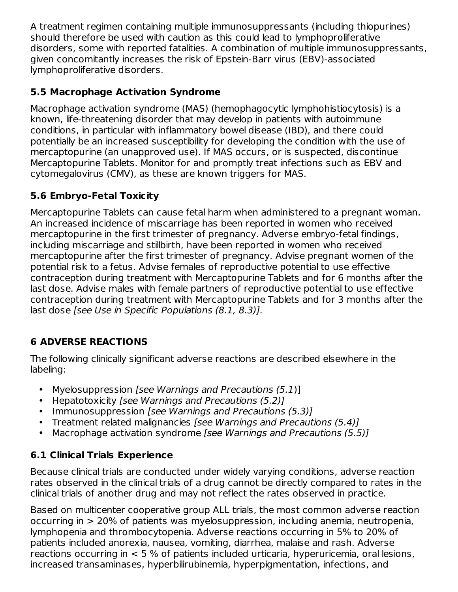A treatment regimen containing multiple immunosuppressants (including thiopurines) should therefore be used with caution as this could lead to lymphoproliferative disorders, some with reported fatalities. A combination of multiple immunosuppressants, given concomitantly increases the risk of Epstein-Barr virus (EBV)-associated lymphoproliferative disorders.

# **5.5 Macrophage Activation Syndrome**

Macrophage activation syndrome (MAS) (hemophagocytic lymphohistiocytosis) is a known, life-threatening disorder that may develop in patients with autoimmune conditions, in particular with inflammatory bowel disease (IBD), and there could potentially be an increased susceptibility for developing the condition with the use of mercaptopurine (an unapproved use). If MAS occurs, or is suspected, discontinue Mercaptopurine Tablets. Monitor for and promptly treat infections such as EBV and cytomegalovirus (CMV), as these are known triggers for MAS.

# **5.6 Embryo-Fetal Toxicity**

Mercaptopurine Tablets can cause fetal harm when administered to a pregnant woman. An increased incidence of miscarriage has been reported in women who received mercaptopurine in the first trimester of pregnancy. Adverse embryo-fetal findings, including miscarriage and stillbirth, have been reported in women who received mercaptopurine after the first trimester of pregnancy. Advise pregnant women of the potential risk to a fetus. Advise females of reproductive potential to use effective contraception during treatment with Mercaptopurine Tablets and for 6 months after the last dose. Advise males with female partners of reproductive potential to use effective contraception during treatment with Mercaptopurine Tablets and for 3 months after the last dose [see Use in Specific Populations (8.1, 8.3)].

# **6 ADVERSE REACTIONS**

The following clinically significant adverse reactions are described elsewhere in the labeling:

- Myelosuppression [see Warnings and Precautions (5.1)]
- Hepatotoxicity [see Warnings and Precautions (5.2)]
- Immunosuppression [see Warnings and Precautions (5.3)]
- Treatment related malignancies [see Warnings and Precautions (5.4)]
- Macrophage activation syndrome [see Warnings and Precautions (5.5)]

# **6.1 Clinical Trials Experience**

Because clinical trials are conducted under widely varying conditions, adverse reaction rates observed in the clinical trials of a drug cannot be directly compared to rates in the clinical trials of another drug and may not reflect the rates observed in practice.

Based on multicenter cooperative group ALL trials, the most common adverse reaction occurring in > 20% of patients was myelosuppression, including anemia, neutropenia, lymphopenia and thrombocytopenia. Adverse reactions occurring in 5% to 20% of patients included anorexia, nausea, vomiting, diarrhea, malaise and rash. Adverse reactions occurring in < 5 % of patients included urticaria, hyperuricemia, oral lesions, increased transaminases, hyperbilirubinemia, hyperpigmentation, infections, and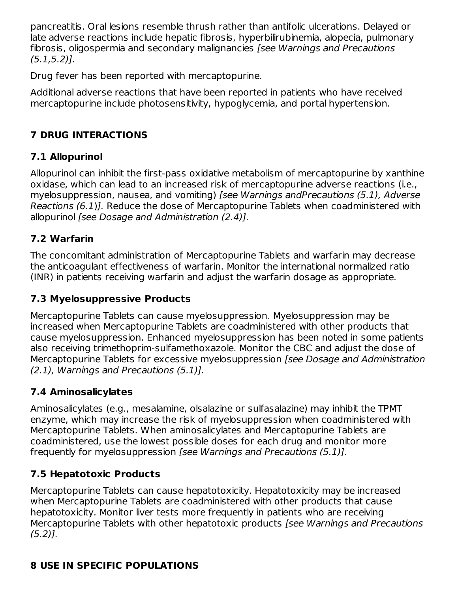pancreatitis. Oral lesions resemble thrush rather than antifolic ulcerations. Delayed or late adverse reactions include hepatic fibrosis, hyperbilirubinemia, alopecia, pulmonary fibrosis, oligospermia and secondary malignancies [see Warnings and Precautions  $(5.1.5.2)$ .

Drug fever has been reported with mercaptopurine.

Additional adverse reactions that have been reported in patients who have received mercaptopurine include photosensitivity, hypoglycemia, and portal hypertension.

# **7 DRUG INTERACTIONS**

# **7.1 Allopurinol**

Allopurinol can inhibit the first-pass oxidative metabolism of mercaptopurine by xanthine oxidase, which can lead to an increased risk of mercaptopurine adverse reactions (i.e., myelosuppression, nausea, and vomiting) [see Warnings andPrecautions (5.1), Adverse Reactions (6.1)]. Reduce the dose of Mercaptopurine Tablets when coadministered with allopurinol [see Dosage and Administration (2.4)].

# **7.2 Warfarin**

The concomitant administration of Mercaptopurine Tablets and warfarin may decrease the anticoagulant effectiveness of warfarin. Monitor the international normalized ratio (INR) in patients receiving warfarin and adjust the warfarin dosage as appropriate.

# **7.3 Myelosuppressive Products**

Mercaptopurine Tablets can cause myelosuppression. Myelosuppression may be increased when Mercaptopurine Tablets are coadministered with other products that cause myelosuppression. Enhanced myelosuppression has been noted in some patients also receiving trimethoprim-sulfamethoxazole. Monitor the CBC and adjust the dose of Mercaptopurine Tablets for excessive myelosuppression [see Dosage and Administration (2.1), Warnings and Precautions (5.1)].

# **7.4 Aminosalicylates**

Aminosalicylates (e.g., mesalamine, olsalazine or sulfasalazine) may inhibit the TPMT enzyme, which may increase the risk of myelosuppression when coadministered with Mercaptopurine Tablets. When aminosalicylates and Mercaptopurine Tablets are coadministered, use the lowest possible doses for each drug and monitor more frequently for myelosuppression [see Warnings and Precautions (5.1)].

# **7.5 Hepatotoxic Products**

Mercaptopurine Tablets can cause hepatotoxicity. Hepatotoxicity may be increased when Mercaptopurine Tablets are coadministered with other products that cause hepatotoxicity. Monitor liver tests more frequently in patients who are receiving Mercaptopurine Tablets with other hepatotoxic products [see Warnings and Precautions  $(5.2)$ ].

# **8 USE IN SPECIFIC POPULATIONS**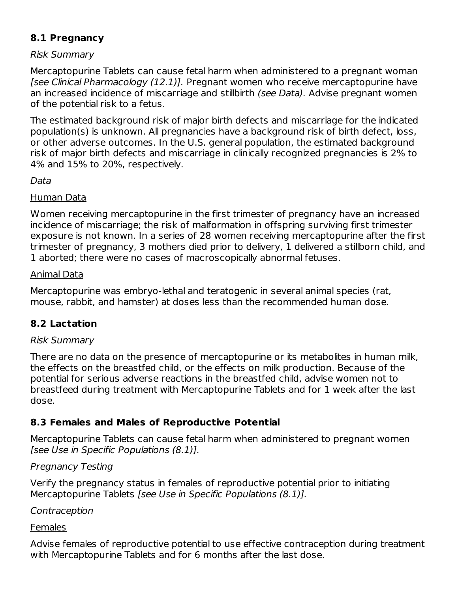# **8.1 Pregnancy**

### Risk Summary

Mercaptopurine Tablets can cause fetal harm when administered to a pregnant woman [see Clinical Pharmacology (12.1)]. Pregnant women who receive mercaptopurine have an increased incidence of miscarriage and stillbirth (see Data). Advise pregnant women of the potential risk to a fetus.

The estimated background risk of major birth defects and miscarriage for the indicated population(s) is unknown. All pregnancies have a background risk of birth defect, loss, or other adverse outcomes. In the U.S. general population, the estimated background risk of major birth defects and miscarriage in clinically recognized pregnancies is 2% to 4% and 15% to 20%, respectively.

#### Data

#### Human Data

Women receiving mercaptopurine in the first trimester of pregnancy have an increased incidence of miscarriage; the risk of malformation in offspring surviving first trimester exposure is not known. In a series of 28 women receiving mercaptopurine after the first trimester of pregnancy, 3 mothers died prior to delivery, 1 delivered a stillborn child, and 1 aborted; there were no cases of macroscopically abnormal fetuses.

#### Animal Data

Mercaptopurine was embryo-lethal and teratogenic in several animal species (rat, mouse, rabbit, and hamster) at doses less than the recommended human dose.

# **8.2 Lactation**

### Risk Summary

There are no data on the presence of mercaptopurine or its metabolites in human milk, the effects on the breastfed child, or the effects on milk production. Because of the potential for serious adverse reactions in the breastfed child, advise women not to breastfeed during treatment with Mercaptopurine Tablets and for 1 week after the last dose.

# **8.3 Females and Males of Reproductive Potential**

Mercaptopurine Tablets can cause fetal harm when administered to pregnant women [see Use in Specific Populations (8.1)].

### Pregnancy Testing

Verify the pregnancy status in females of reproductive potential prior to initiating Mercaptopurine Tablets [see Use in Specific Populations (8.1)].

### Contraception

#### Females

Advise females of reproductive potential to use effective contraception during treatment with Mercaptopurine Tablets and for 6 months after the last dose.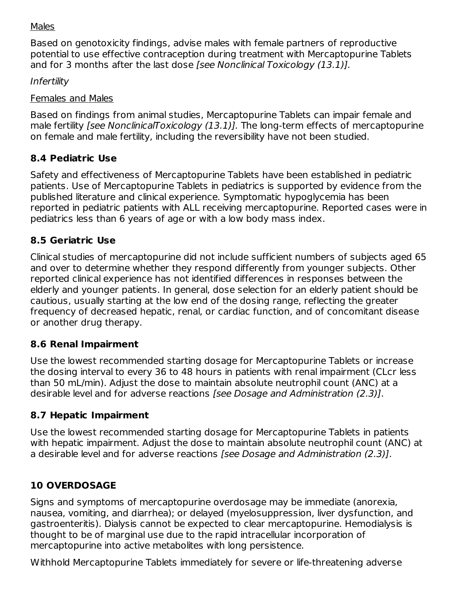#### Males

Based on genotoxicity findings, advise males with female partners of reproductive potential to use effective contraception during treatment with Mercaptopurine Tablets and for 3 months after the last dose [see Nonclinical Toxicology (13.1)].

Infertility

#### Females and Males

Based on findings from animal studies, Mercaptopurine Tablets can impair female and male fertility *[see NonclinicalToxicology (13.1)]*. The long-term effects of mercaptopurine on female and male fertility, including the reversibility have not been studied.

## **8.4 Pediatric Use**

Safety and effectiveness of Mercaptopurine Tablets have been established in pediatric patients. Use of Mercaptopurine Tablets in pediatrics is supported by evidence from the published literature and clinical experience. Symptomatic hypoglycemia has been reported in pediatric patients with ALL receiving mercaptopurine. Reported cases were in pediatrics less than 6 years of age or with a low body mass index.

# **8.5 Geriatric Use**

Clinical studies of mercaptopurine did not include sufficient numbers of subjects aged 65 and over to determine whether they respond differently from younger subjects. Other reported clinical experience has not identified differences in responses between the elderly and younger patients. In general, dose selection for an elderly patient should be cautious, usually starting at the low end of the dosing range, reflecting the greater frequency of decreased hepatic, renal, or cardiac function, and of concomitant disease or another drug therapy.

### **8.6 Renal Impairment**

Use the lowest recommended starting dosage for Mercaptopurine Tablets or increase the dosing interval to every 36 to 48 hours in patients with renal impairment (CLcr less than 50 mL/min). Adjust the dose to maintain absolute neutrophil count (ANC) at a desirable level and for adverse reactions [see Dosage and Administration (2.3)].

# **8.7 Hepatic Impairment**

Use the lowest recommended starting dosage for Mercaptopurine Tablets in patients with hepatic impairment. Adjust the dose to maintain absolute neutrophil count (ANC) at a desirable level and for adverse reactions [see Dosage and Administration (2.3)].

# **10 OVERDOSAGE**

Signs and symptoms of mercaptopurine overdosage may be immediate (anorexia, nausea, vomiting, and diarrhea); or delayed (myelosuppression, liver dysfunction, and gastroenteritis). Dialysis cannot be expected to clear mercaptopurine. Hemodialysis is thought to be of marginal use due to the rapid intracellular incorporation of mercaptopurine into active metabolites with long persistence.

Withhold Mercaptopurine Tablets immediately for severe or life-threatening adverse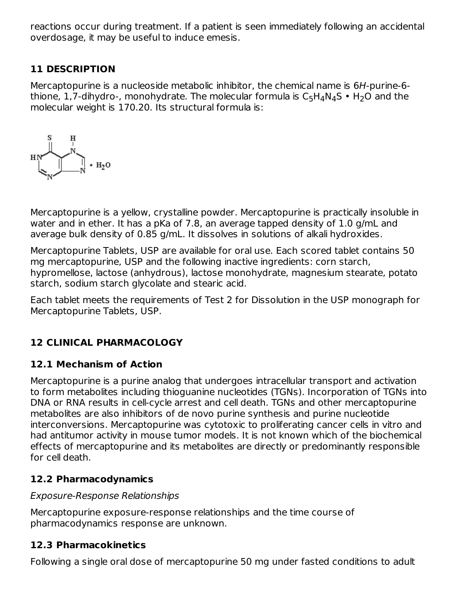reactions occur during treatment. If a patient is seen immediately following an accidental overdosage, it may be useful to induce emesis.

# **11 DESCRIPTION**

Mercaptopurine is a nucleoside metabolic inhibitor, the chemical name is 6H-purine-6 thione, 1,7-dihydro-, monohydrate. The molecular formula is  $\mathsf{C}_5\mathsf{H}_4\mathsf{N}_4\mathsf{S}\bullet \mathsf{H}_2\mathsf{O}$  and the molecular weight is 170.20. Its structural formula is:



Mercaptopurine is a yellow, crystalline powder. Mercaptopurine is practically insoluble in water and in ether. It has a pKa of 7.8, an average tapped density of 1.0 g/mL and average bulk density of 0.85 g/mL. It dissolves in solutions of alkali hydroxides.

Mercaptopurine Tablets, USP are available for oral use. Each scored tablet contains 50 mg mercaptopurine, USP and the following inactive ingredients: corn starch, hypromellose, lactose (anhydrous), lactose monohydrate, magnesium stearate, potato starch, sodium starch glycolate and stearic acid.

Each tablet meets the requirements of Test 2 for Dissolution in the USP monograph for Mercaptopurine Tablets, USP.

# **12 CLINICAL PHARMACOLOGY**

### **12.1 Mechanism of Action**

Mercaptopurine is a purine analog that undergoes intracellular transport and activation to form metabolites including thioguanine nucleotides (TGNs). Incorporation of TGNs into DNA or RNA results in cell-cycle arrest and cell death. TGNs and other mercaptopurine metabolites are also inhibitors of de novo purine synthesis and purine nucleotide interconversions. Mercaptopurine was cytotoxic to proliferating cancer cells in vitro and had antitumor activity in mouse tumor models. It is not known which of the biochemical effects of mercaptopurine and its metabolites are directly or predominantly responsible for cell death.

# **12.2 Pharmacodynamics**

### Exposure-Response Relationships

Mercaptopurine exposure-response relationships and the time course of pharmacodynamics response are unknown.

# **12.3 Pharmacokinetics**

Following a single oral dose of mercaptopurine 50 mg under fasted conditions to adult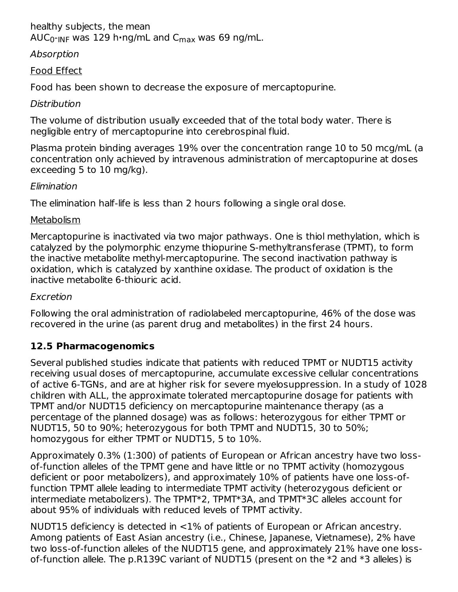# healthy subjects, the mean

AUC<sub>0</sub>-<sub>INF</sub> was 129 h•ng/mL and C<sub>max</sub> was 69 ng/mL.

## Absorption

## Food Effect

Food has been shown to decrease the exposure of mercaptopurine.

## **Distribution**

The volume of distribution usually exceeded that of the total body water. There is negligible entry of mercaptopurine into cerebrospinal fluid.

Plasma protein binding averages 19% over the concentration range 10 to 50 mcg/mL (a concentration only achieved by intravenous administration of mercaptopurine at doses exceeding 5 to 10 mg/kg).

## Elimination

The elimination half-life is less than 2 hours following a single oral dose.

## Metabolism

Mercaptopurine is inactivated via two major pathways. One is thiol methylation, which is catalyzed by the polymorphic enzyme thiopurine S-methyltransferase (TPMT), to form the inactive metabolite methyl-mercaptopurine. The second inactivation pathway is oxidation, which is catalyzed by xanthine oxidase. The product of oxidation is the inactive metabolite 6-thiouric acid.

### Excretion

Following the oral administration of radiolabeled mercaptopurine, 46% of the dose was recovered in the urine (as parent drug and metabolites) in the first 24 hours.

# **12.5 Pharmacogenomics**

Several published studies indicate that patients with reduced TPMT or NUDT15 activity receiving usual doses of mercaptopurine, accumulate excessive cellular concentrations of active 6-TGNs, and are at higher risk for severe myelosuppression. In a study of 1028 children with ALL, the approximate tolerated mercaptopurine dosage for patients with TPMT and/or NUDT15 deficiency on mercaptopurine maintenance therapy (as a percentage of the planned dosage) was as follows: heterozygous for either TPMT or NUDT15, 50 to 90%; heterozygous for both TPMT and NUDT15, 30 to 50%; homozygous for either TPMT or NUDT15, 5 to 10%.

Approximately 0.3% (1:300) of patients of European or African ancestry have two lossof-function alleles of the TPMT gene and have little or no TPMT activity (homozygous deficient or poor metabolizers), and approximately 10% of patients have one loss-offunction TPMT allele leading to intermediate TPMT activity (heterozygous deficient or intermediate metabolizers). The TPMT\*2, TPMT\*3A, and TPMT\*3C alleles account for about 95% of individuals with reduced levels of TPMT activity.

NUDT15 deficiency is detected in <1% of patients of European or African ancestry. Among patients of East Asian ancestry (i.e., Chinese, Japanese, Vietnamese), 2% have two loss-of-function alleles of the NUDT15 gene, and approximately 21% have one lossof-function allele. The p.R139C variant of NUDT15 (present on the \*2 and \*3 alleles) is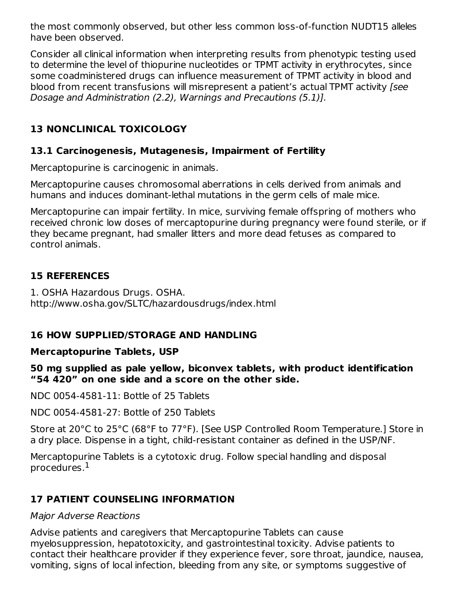the most commonly observed, but other less common loss-of-function NUDT15 alleles have been observed.

Consider all clinical information when interpreting results from phenotypic testing used to determine the level of thiopurine nucleotides or TPMT activity in erythrocytes, since some coadministered drugs can influence measurement of TPMT activity in blood and blood from recent transfusions will misrepresent a patient's actual TPMT activity [see Dosage and Administration (2.2), Warnings and Precautions (5.1)].

# **13 NONCLINICAL TOXICOLOGY**

## **13.1 Carcinogenesis, Mutagenesis, Impairment of Fertility**

Mercaptopurine is carcinogenic in animals.

Mercaptopurine causes chromosomal aberrations in cells derived from animals and humans and induces dominant-lethal mutations in the germ cells of male mice.

Mercaptopurine can impair fertility. In mice, surviving female offspring of mothers who received chronic low doses of mercaptopurine during pregnancy were found sterile, or if they became pregnant, had smaller litters and more dead fetuses as compared to control animals.

## **15 REFERENCES**

1. OSHA Hazardous Drugs. OSHA. http://www.osha.gov/SLTC/hazardousdrugs/index.html

# **16 HOW SUPPLIED/STORAGE AND HANDLING**

### **Mercaptopurine Tablets, USP**

**50 mg supplied as pale yellow, biconvex tablets, with product identification "54 420" on one side and a score on the other side.**

NDC 0054-4581-11: Bottle of 25 Tablets

NDC 0054-4581-27: Bottle of 250 Tablets

Store at 20°C to 25°C (68°F to 77°F). [See USP Controlled Room Temperature.] Store in a dry place. Dispense in a tight, child-resistant container as defined in the USP/NF.

Mercaptopurine Tablets is a cytotoxic drug. Follow special handling and disposal procedures. 1

# **17 PATIENT COUNSELING INFORMATION**

### Major Adverse Reactions

Advise patients and caregivers that Mercaptopurine Tablets can cause myelosuppression, hepatotoxicity, and gastrointestinal toxicity. Advise patients to contact their healthcare provider if they experience fever, sore throat, jaundice, nausea, vomiting, signs of local infection, bleeding from any site, or symptoms suggestive of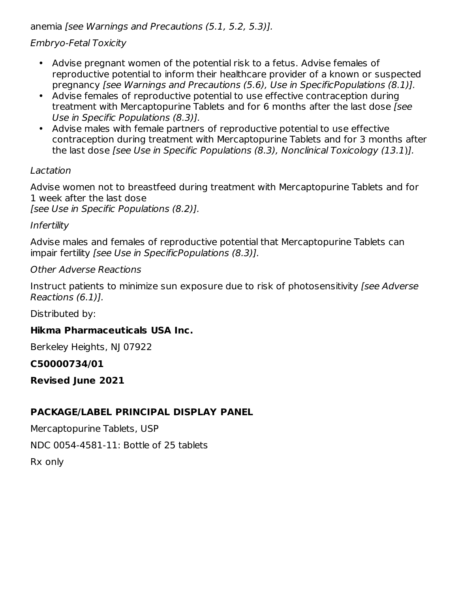anemia [see Warnings and Precautions (5.1, 5.2, 5.3)].

## Embryo-Fetal Toxicity

- Advise pregnant women of the potential risk to a fetus. Advise females of reproductive potential to inform their healthcare provider of a known or suspected pregnancy [see Warnings and Precautions (5.6), Use in SpecificPopulations (8.1)].
- $\bullet$ Advise females of reproductive potential to use effective contraception during treatment with Mercaptopurine Tablets and for 6 months after the last dose [see Use in Specific Populations (8.3)].
- Advise males with female partners of reproductive potential to use effective contraception during treatment with Mercaptopurine Tablets and for 3 months after the last dose [see Use in Specific Populations (8.3), Nonclinical Toxicology (13.1)].

### Lactation

Advise women not to breastfeed during treatment with Mercaptopurine Tablets and for 1 week after the last dose

[see Use in Specific Populations (8.2)].

### Infertility

Advise males and females of reproductive potential that Mercaptopurine Tablets can impair fertility [see Use in SpecificPopulations (8.3)].

#### Other Adverse Reactions

Instruct patients to minimize sun exposure due to risk of photosensitivity [see Adverse Reactions (6.1)].

Distributed by:

# **Hikma Pharmaceuticals USA Inc.**

Berkeley Heights, NJ 07922

### **C50000734/01**

**Revised June 2021**

# **PACKAGE/LABEL PRINCIPAL DISPLAY PANEL**

Mercaptopurine Tablets, USP

NDC 0054-4581-11: Bottle of 25 tablets

Rx only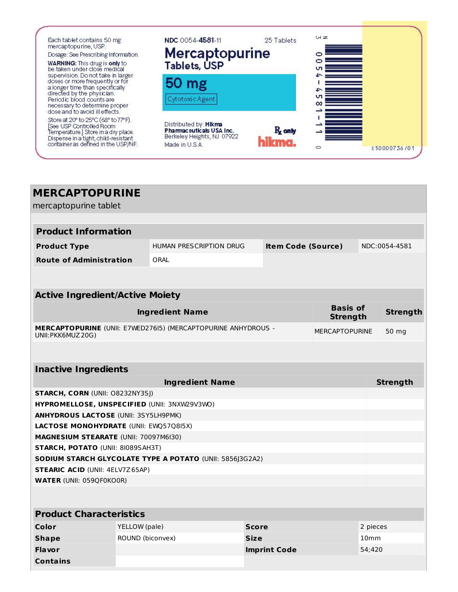

| <b>MERCAPTOPURINE</b>                                                                                               |                  |                         |              |                           |  |                  |               |
|---------------------------------------------------------------------------------------------------------------------|------------------|-------------------------|--------------|---------------------------|--|------------------|---------------|
| mercaptopurine tablet                                                                                               |                  |                         |              |                           |  |                  |               |
|                                                                                                                     |                  |                         |              |                           |  |                  |               |
| <b>Product Information</b>                                                                                          |                  |                         |              |                           |  |                  |               |
| <b>Product Type</b>                                                                                                 |                  | HUMAN PRESCRIPTION DRUG |              | <b>Item Code (Source)</b> |  |                  | NDC:0054-4581 |
| <b>Route of Administration</b>                                                                                      |                  | ORAL                    |              |                           |  |                  |               |
|                                                                                                                     |                  |                         |              |                           |  |                  |               |
|                                                                                                                     |                  |                         |              |                           |  |                  |               |
| <b>Active Ingredient/Active Moiety</b>                                                                              |                  |                         |              |                           |  |                  |               |
| <b>Basis of</b><br><b>Ingredient Name</b><br><b>Strength</b>                                                        |                  |                         |              |                           |  | <b>Strength</b>  |               |
| <b>MERCAPTOPURINE</b> (UNII: E7WED27615) (MERCAPTOPURINE ANHYDROUS -<br><b>MERCAPTOPURINE</b><br>UNII: PKK6MUZ 20G) |                  |                         |              |                           |  | 50 mg            |               |
|                                                                                                                     |                  |                         |              |                           |  |                  |               |
|                                                                                                                     |                  |                         |              |                           |  |                  |               |
| <b>Inactive Ingredients</b>                                                                                         |                  |                         |              |                           |  |                  |               |
| <b>Ingredient Name</b><br><b>Strength</b>                                                                           |                  |                         |              |                           |  |                  |               |
| <b>STARCH, CORN (UNII: O8232NY3SJ)</b>                                                                              |                  |                         |              |                           |  |                  |               |
| HYPROMELLOSE, UNSPECIFIED (UNII: 3NXW29V3WO)                                                                        |                  |                         |              |                           |  |                  |               |
| <b>ANHYDROUS LACTOSE (UNII: 3SY5LH9PMK)</b>                                                                         |                  |                         |              |                           |  |                  |               |
| LACTOSE MONOHYDRATE (UNII: EWQ57Q8I5X)                                                                              |                  |                         |              |                           |  |                  |               |
| <b>MAGNESIUM STEARATE (UNII: 70097M6I30)</b>                                                                        |                  |                         |              |                           |  |                  |               |
| STARCH, POTATO (UNII: 81089SAH3T)<br>SODIUM STARCH GLYCOLATE TYPE A POTATO (UNII: 5856J3G2A2)                       |                  |                         |              |                           |  |                  |               |
| <b>STEARIC ACID (UNII: 4ELV7Z65AP)</b>                                                                              |                  |                         |              |                           |  |                  |               |
| <b>WATER (UNII: 059QF0KO0R)</b>                                                                                     |                  |                         |              |                           |  |                  |               |
|                                                                                                                     |                  |                         |              |                           |  |                  |               |
|                                                                                                                     |                  |                         |              |                           |  |                  |               |
| <b>Product Characteristics</b>                                                                                      |                  |                         |              |                           |  |                  |               |
| Color                                                                                                               | YELLOW (pale)    |                         | <b>Score</b> |                           |  | 2 pieces         |               |
| <b>Shape</b>                                                                                                        | ROUND (biconvex) |                         | <b>Size</b>  |                           |  | 10 <sub>mm</sub> |               |
| <b>Flavor</b>                                                                                                       |                  |                         |              | <b>Imprint Code</b>       |  | 54;420           |               |
| <b>Contains</b>                                                                                                     |                  |                         |              |                           |  |                  |               |